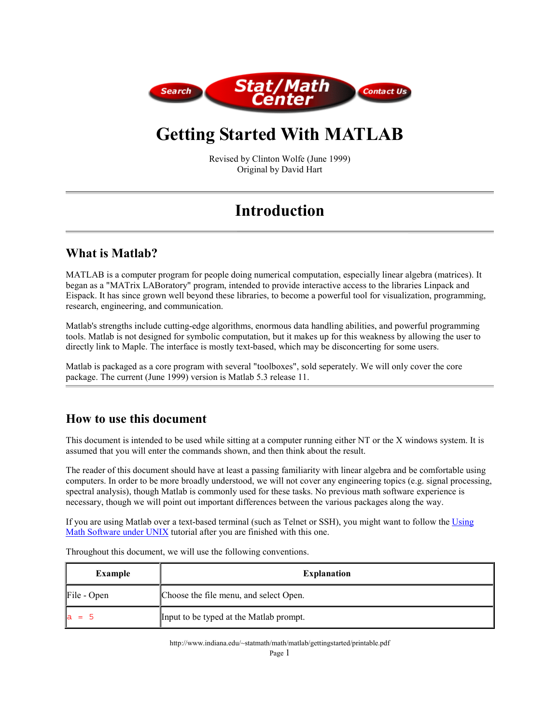

# **Getting Started With MATLAB**

Revised by Clinton Wolfe (June 1999) Original by David Hart

# **Introduction**

## **What is Matlab?**

MATLAB is a computer program for people doing numerical computation, especially linear algebra (matrices). It began as a "MATrix LABoratory" program, intended to provide interactive access to the libraries Linpack and Eispack. It has since grown well beyond these libraries, to become a powerful tool for visualization, programming, research, engineering, and communication.

Matlab's strengths include cutting-edge algorithms, enormous data handling abilities, and powerful programming tools. Matlab is not designed for symbolic computation, but it makes up for this weakness by allowing the user to directly link to Maple. The interface is mostly text-based, which may be disconcerting for some users.

Matlab is packaged as a core program with several "toolboxes", sold seperately. We will only cover the core package. The current (June 1999) version is Matlab 5.3 release 11.

## **How to use this document**

This document is intended to be used while sitting at a computer running either NT or the X windows system. It is assumed that you will enter the commands shown, and then think about the result.

The reader of this document should have at least a passing familiarity with linear algebra and be comfortable using computers. In order to be more broadly understood, we will not cover any engineering topics (e.g. signal processing, spectral analysis), though Matlab is commonly used for these tasks. No previous math software experience is necessary, though we will point out important differences between the various packages along the way.

If you are using Matlab over a text-based terminal (such as Telnet or SSH), you might want to follow the [Using](http://www.indiana.edu/~statmath/math/all/mathunix/index.html) [Math Software under UNIX](http://www.indiana.edu/~statmath/math/all/mathunix/index.html) tutorial after you are finished with this one.

| <b>Example</b> | <b>Explanation</b>                      |  |  |
|----------------|-----------------------------------------|--|--|
| File - Open    | Choose the file menu, and select Open.  |  |  |
| $a = 5$        | Input to be typed at the Matlab prompt. |  |  |

Throughout this document, we will use the following conventions.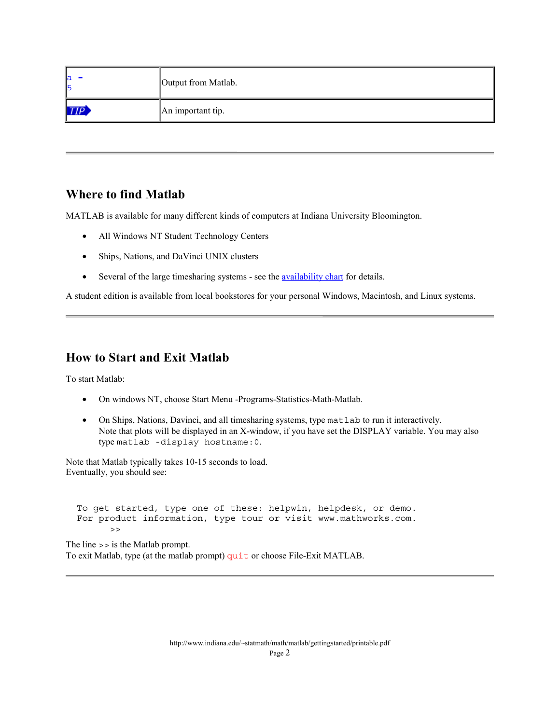| la l<br>l5 | Output from Matlab. |  |
|------------|---------------------|--|
| TIP        | An important tip.   |  |

### **Where to find Matlab**

MATLAB is available for many different kinds of computers at Indiana University Bloomington.

- All Windows NT Student Technology Centers
- Ships, Nations, and DaVinci UNIX clusters
- Several of the large timesharing systems see the **availability chart** for details.

A student edition is available from local bookstores for your personal Windows, Macintosh, and Linux systems.

### **How to Start and Exit Matlab**

To start Matlab:

- On windows NT, choose Start Menu -Programs-Statistics-Math-Matlab.
- On Ships, Nations, Davinci, and all timesharing systems, type matlab to run it interactively. Note that plots will be displayed in an X-window, if you have set the DISPLAY variable. You may also type matlab -display hostname:0.

Note that Matlab typically takes 10-15 seconds to load. Eventually, you should see:

To get started, type one of these: helpwin, helpdesk, or demo. For product information, type tour or visit www.mathworks.com.  $>$ 

The line  $\gg$  is the Matlab prompt.

To exit Matlab, type (at the matlab prompt) quit or choose File-Exit MATLAB.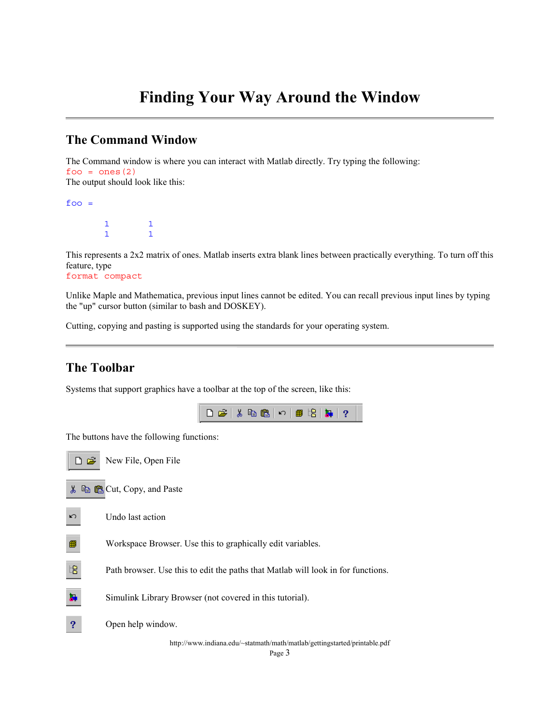### **The Command Window**

The Command window is where you can interact with Matlab directly. Try typing the following:  $foo = ones(2)$ The output should look like this:

 $foo =$ 

1 1 1 1

This represents a 2x2 matrix of ones. Matlab inserts extra blank lines between practically everything. To turn off this feature, type

format compact

Unlike Maple and Mathematica, previous input lines cannot be edited. You can recall previous input lines by typing the "up" cursor button (similar to bash and DOSKEY).

Cutting, copying and pasting is supported using the standards for your operating system.

### **The Toolbar**

Systems that support graphics have a toolbar at the top of the screen, like this:



Page 3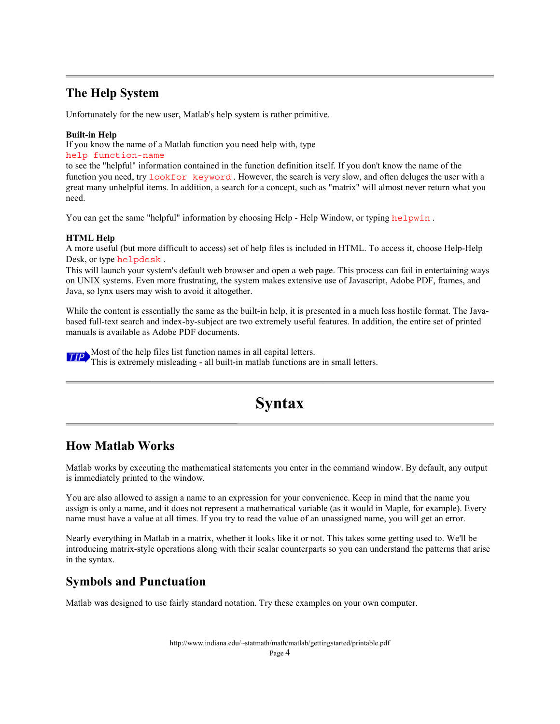# **The Help System**

Unfortunately for the new user, Matlab's help system is rather primitive.

#### **Built-in Help**

If you know the name of a Matlab function you need help with, type

help function-name

to see the "helpful" information contained in the function definition itself. If you don't know the name of the function you need, try lookfor keyword . However, the search is very slow, and often deluges the user with a great many unhelpful items. In addition, a search for a concept, such as "matrix" will almost never return what you need.

You can get the same "helpful" information by choosing Help - Help Window, or typing helpwin.

#### **HTML Help**

A more useful (but more difficult to access) set of help files is included in HTML. To access it, choose Help-Help Desk, or type helpdesk .

This will launch your system's default web browser and open a web page. This process can fail in entertaining ways on UNIX systems. Even more frustrating, the system makes extensive use of Javascript, Adobe PDF, frames, and Java, so lynx users may wish to avoid it altogether.

While the content is essentially the same as the built-in help, it is presented in a much less hostile format. The Javabased full-text search and index-by-subject are two extremely useful features. In addition, the entire set of printed manuals is available as Adobe PDF documents.

Most of the help files list function names in all capital letters. This is extremely misleading - all built-in matlab functions are in small letters.

# **Syntax**

### **How Matlab Works**

Matlab works by executing the mathematical statements you enter in the command window. By default, any output is immediately printed to the window.

You are also allowed to assign a name to an expression for your convenience. Keep in mind that the name you assign is only a name, and it does not represent a mathematical variable (as it would in Maple, for example). Every name must have a value at all times. If you try to read the value of an unassigned name, you will get an error.

Nearly everything in Matlab in a matrix, whether it looks like it or not. This takes some getting used to. We'll be introducing matrix-style operations along with their scalar counterparts so you can understand the patterns that arise in the syntax.

## **Symbols and Punctuation**

Matlab was designed to use fairly standard notation. Try these examples on your own computer.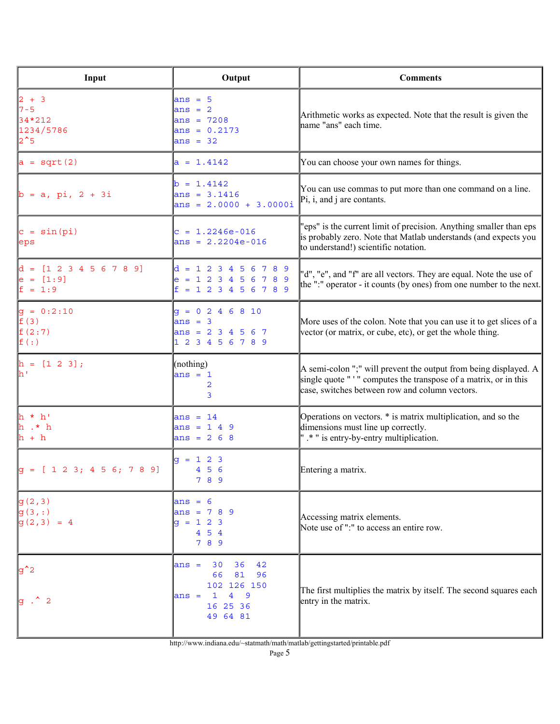| Input                                                    | Output                                                                                                             | <b>Comments</b>                                                                                                                                                                         |  |
|----------------------------------------------------------|--------------------------------------------------------------------------------------------------------------------|-----------------------------------------------------------------------------------------------------------------------------------------------------------------------------------------|--|
| $2 + 3$<br>$7 - 5$<br>34*212<br>1234/5786<br>$2^{\sim}5$ | ans = $5$<br>ans = $2$<br>ans = $7208$<br>$ans = 0.2173$<br>ans = $32$                                             | Arithmetic works as expected. Note that the result is given the<br>name "ans" each time.                                                                                                |  |
| $a = sqrt(2)$                                            | $a = 1.4142$                                                                                                       | You can choose your own names for things.                                                                                                                                               |  |
| $b = a, pi, 2 + 3i$                                      | $b = 1.4142$<br>$ans = 3.1416$<br>$ans = 2.0000 + 3.0000i$                                                         | You can use commas to put more than one command on a line.<br>Pi, i, and j are contants.                                                                                                |  |
| $c = sin(pi)$<br>eps                                     | $c = 1.2246e-016$<br>ans = $2.2204e-016$                                                                           | "eps" is the current limit of precision. Anything smaller than eps<br>is probably zero. Note that Matlab understands (and expects you<br>to understand!) scientific notation.           |  |
| $d = [1 2 3 4 5 6 7 8 9]$<br>$e = [1:9]$<br>$f = 1:9$    | $d = 1 2 3 4 5 6$<br>89<br>$= 1 2 3 4 5 6 7 8 9$<br>$f = 1 2 3 4 5 6 7 8 9$                                        | "d", "e", and "f" are all vectors. They are equal. Note the use of<br>the ":" operator - it counts (by ones) from one number to the next.                                               |  |
| $g = 0:2:10$<br>f(3)<br>f(2:7)<br>f(t)                   | $g = 0 2 4 6 8 10$<br>ans = $3$<br>$ans = 234567$<br>1 2 3 4 5 6 7 8 9                                             | More uses of the colon. Note that you can use it to get slices of a<br>vector (or matrix, or cube, etc), or get the whole thing.                                                        |  |
| $h = [1 2 3];$<br>h١                                     | (nothing)<br>ans = $1$<br>2<br>3                                                                                   | A semi-colon ";" will prevent the output from being displayed. A<br>single quote " ' " computes the transpose of a matrix, or in this<br>case, switches between row and column vectors. |  |
| $h * h'$<br>h $\cdot$ + h<br>$h + h$                     | ans = $14$<br>$ans = 1 4 9$<br>$ans = 268$                                                                         | Operations on vectors. * is matrix multiplication, and so the<br>dimensions must line up correctly.<br>".* " is entry-by-entry multiplication.                                          |  |
| $g = [1 2 3; 4 5 6; 7 8 9]$                              | $g = 1 2 3$<br>4 5 6<br>7 8 9                                                                                      | Entering a matrix.                                                                                                                                                                      |  |
| g(2,3)<br>g(3, :)<br>$g(2,3) = 4$                        | ans = $6$<br>$ans = 789$<br>$q = 123$<br>4 5 4<br>789                                                              | Accessing matrix elements.<br>Note use of ":" to access an entire row.                                                                                                                  |  |
| $g^2$                                                    | 36<br>42<br>30<br>$ans =$<br>81<br>66<br>96<br>102 126 150<br>$\mathbf{1}$<br>4 9<br>ans =<br>16 25 36<br>49 64 81 | The first multiplies the matrix by itself. The second squares each<br>entry in the matrix.                                                                                              |  |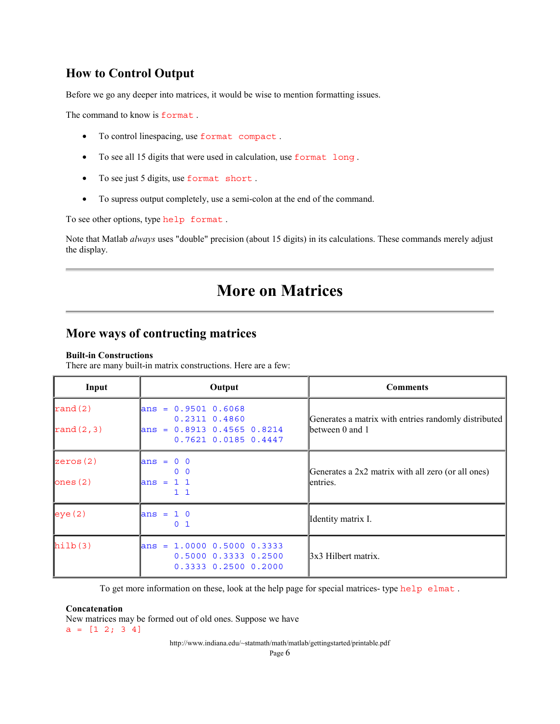## **How to Control Output**

Before we go any deeper into matrices, it would be wise to mention formatting issues.

The command to know is format .

- To control linespacing, use format compact .
- To see all 15 digits that were used in calculation, use format long .
- To see just 5 digits, use format short .
- To supress output completely, use a semi-colon at the end of the command.

To see other options, type help format .

Note that Matlab *always* uses "double" precision (about 15 digits) in its calculations. These commands merely adjust the display.

# **More on Matrices**

### **More ways of contructing matrices**

#### **Built-in Constructions**

There are many built-in matrix constructions. Here are a few:

| Input                       | Output                                                                              | <b>Comments</b>                                                                  |
|-----------------------------|-------------------------------------------------------------------------------------|----------------------------------------------------------------------------------|
| rand $(2)$<br>rand $(2, 3)$ | $ans = 0.9501 0.6068$<br>$0.2311$ $0.4860$<br>$ans = 0.8913 0.4565 0.8214$          | Generates a matrix with entries randomly distributed<br><b>I</b> between 0 and 1 |
|                             | $0.7621$ 0.0185 0.4447                                                              |                                                                                  |
| zeros(2) <br>ones(2)        | $0\quad 0$<br>$\tan s =$<br>$\overline{0}$<br>$\mathbf{0}$<br>$ans = 1 1$<br>$1\,1$ | Generates a 2x2 matrix with all zero (or all ones)<br>lentries.                  |
| eye(2)                      | 10<br>$\mathsf{ans}$ =<br>0 <sub>1</sub>                                            | Identity matrix I.                                                               |
| hilb(3)                     | $ans = 1.0000 0.5000 0.3333$<br>0.5000 0.3333 0.2500<br>0.3333 0.2500 0.2000        | 3x3 Hilbert matrix.                                                              |

To get more information on these, look at the help page for special matrices- type help elmat.

#### **Concatenation**

New matrices may be formed out of old ones. Suppose we have

 $a = [1 2; 3 4]$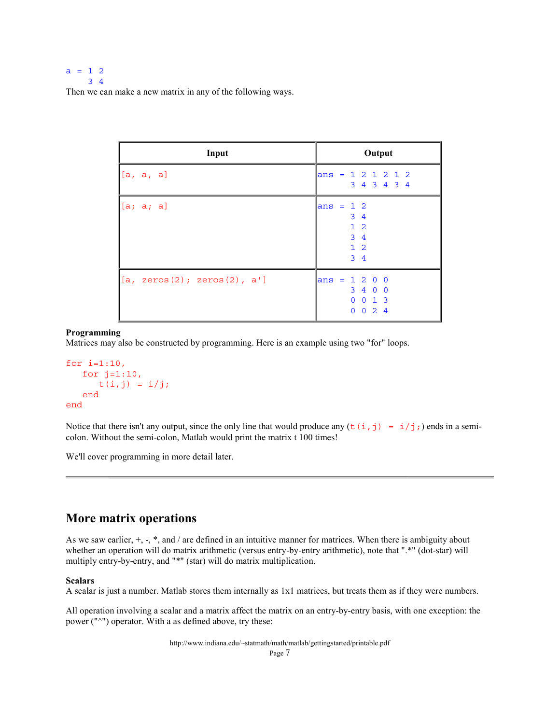#### $a = 12$ 3 4

Then we can make a new matrix in any of the following ways.

| Input                       | Output                                                                  |
|-----------------------------|-------------------------------------------------------------------------|
| [a, a, a]                   | $ans = 1 2 1 2 1 2$<br>3 4 3 4 3 4                                      |
| [a; a; a]                   | $ans = 12$<br>$3 \quad 4$<br>$1\quad2$<br>34<br>$1\quad2$<br>$3\quad 4$ |
| [a, zeros(2); zeros(2), a'] | $ans = 1 2 0 0$<br>3 4 0 0<br>$0 \t0 \t1 \t3$<br>$0 \t 0 \t 2 \t 4$     |

#### **Programming**

Matrices may also be constructed by programming. Here is an example using two "for" loops.

```
for i=1:10,
   for i=1:10,
      t(i,j) = i/j;end
end
```
Notice that there isn't any output, since the only line that would produce any  $(t(i,j) = i/j;)$  ends in a semicolon. Without the semi-colon, Matlab would print the matrix t 100 times!

We'll cover programming in more detail later.

### **More matrix operations**

As we saw earlier, +, -, \*, and / are defined in an intuitive manner for matrices. When there is ambiguity about whether an operation will do matrix arithmetic (versus entry-by-entry arithmetic), note that ".\*" (dot-star) will multiply entry-by-entry, and "\*" (star) will do matrix multiplication.

#### **Scalars**

A scalar is just a number. Matlab stores them internally as 1x1 matrices, but treats them as if they were numbers.

All operation involving a scalar and a matrix affect the matrix on an entry-by-entry basis, with one exception: the power ("^") operator. With a as defined above, try these: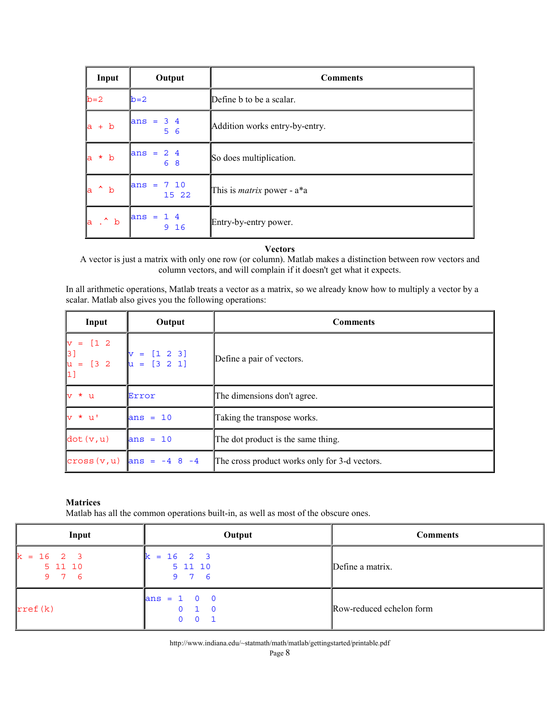| Input              | Output                                  | <b>Comments</b>                                |  |
|--------------------|-----------------------------------------|------------------------------------------------|--|
| $b=2$              | $b=2$                                   | Define b to be a scalar.                       |  |
| $+ b$<br> a        | $= 34$<br>lans<br>5 6                   | Addition works entry-by-entry.                 |  |
| $*$ b<br> a        | $ans = 24$<br>6 8                       | So does multiplication.                        |  |
| $\uparrow$ b<br> a | 7 10<br>lans<br>$=$<br>15 22            | This is <i>matrix</i> power - a <sup>*</sup> a |  |
| $ a \cdot b $      | $\vert$ ans =<br>$\overline{4}$<br>9 16 | Entry-by-entry power.                          |  |

#### **Vectors**

A vector is just a matrix with only one row (or column). Matlab makes a distinction between row vectors and column vectors, and will complain if it doesn't get what it expects.

In all arithmetic operations, Matlab treats a vector as a matrix, so we already know how to multiply a vector by a scalar. Matlab also gives you the following operations:

| Input                               | Output                         | <b>Comments</b>                               |  |
|-------------------------------------|--------------------------------|-----------------------------------------------|--|
| $v = [1 2$<br>3]<br>$u = [3 2$<br>1 | $V = [1 2 3]$<br>$u = [3 2 1]$ | Define a pair of vectors.                     |  |
| lv * u                              | Error                          | The dimensions don't agree.                   |  |
| v * u'                              | $ans = 10$                     | Taking the transpose works.                   |  |
| dot(v, u)                           | $ans = 10$                     | The dot product is the same thing.            |  |
| cross(v, u)                         | $ans = -48 -4$                 | The cross product works only for 3-d vectors. |  |

#### **Matrices**

Matlab has all the common operations built-in, as well as most of the obscure ones.

| Input                                | Output                                     | <b>Comments</b>          |
|--------------------------------------|--------------------------------------------|--------------------------|
| $k = 16$ 2 3<br>5 11 10<br>9 7<br>-6 | $= 16$ 2 3<br>Чk.<br>5 11 10<br>9 7<br>- 6 | Define a matrix.         |
| rref(k)                              | $ans = 1 0 0$<br>$0$ 1 0<br>$\Omega$<br>-1 | Row-reduced echelon form |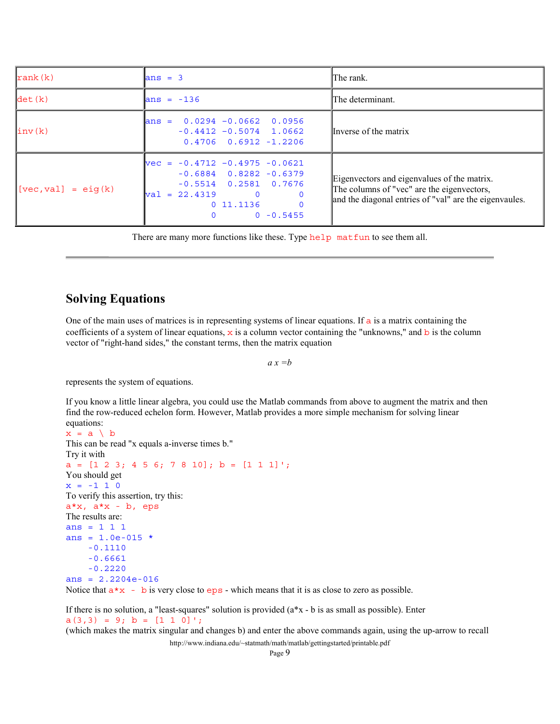| rank(k)               | $\lambda$ ans = 3                                                                                                                                                                        | The rank.                                                                                                                                           |
|-----------------------|------------------------------------------------------------------------------------------------------------------------------------------------------------------------------------------|-----------------------------------------------------------------------------------------------------------------------------------------------------|
| det(k)                | $\text{ans} = -136$                                                                                                                                                                      | The determinant.                                                                                                                                    |
| $\text{inv}(k)$       | $\lambda$ ans = 0.0294 -0.0662 0.0956<br>$-0.4412 - 0.5074$ 1.0662<br>$0.4706$ $0.6912$ $-1.2206$                                                                                        | <b>Inverse of the matrix</b>                                                                                                                        |
| $[vec, val] = eig(k)$ | $vec = -0.4712 -0.4975 -0.0621$<br>$-0.6884$ $0.8282$ $-0.6379$<br>$-0.5514$ $0.2581$ $0.7676$<br>$val = 22.4319$<br>$\sim$ 0<br>$\mathbf 0$<br>0 11.1136<br>$\mathbf 0$<br>$0 - 0.5455$ | Eigenvectors and eigenvalues of the matrix.<br>The columns of "vec" are the eigenvectors,<br>and the diagonal entries of "val" are the eigenvaules. |

There are many more functions like these. Type help matfun to see them all.

## **Solving Equations**

One of the main uses of matrices is in representing systems of linear equations. If  $\alpha$  is a matrix containing the coefficients of a system of linear equations,  $\bf{x}$  is a column vector containing the "unknowns," and  $\bf{b}$  is the column vector of "right-hand sides," the constant terms, then the matrix equation

*a x =b*

represents the system of equations.

If you know a little linear algebra, you could use the Matlab commands from above to augment the matrix and then find the row-reduced echelon form. However, Matlab provides a more simple mechanism for solving linear equations:

```
x = a \setminus bThis can be read "x equals a-inverse times b."
Try it with
a = [1 2 3; 4 5 6; 7 8 10]; b = [1 1 1]';You should get
x = -1 1 0To verify this assertion, try this:
a*x, a*x - b, eps
The results are:
ans = 1 1 1ans = 1.0e-015 *
     -0.1110
     -0.6661
     -0.2220
ans = 2.2204e-016
```
Notice that  $a * x - b$  is very close to eps - which means that it is as close to zero as possible.

http://www.indiana.edu/~statmath/math/matlab/gettingstarted/printable.pdf If there is no solution, a "least-squares" solution is provided (a\*x - b is as small as possible). Enter  $a(3,3) = 9$ ;  $b = [1 \ 1 \ 0]'$ ; (which makes the matrix singular and changes b) and enter the above commands again, using the up-arrow to recall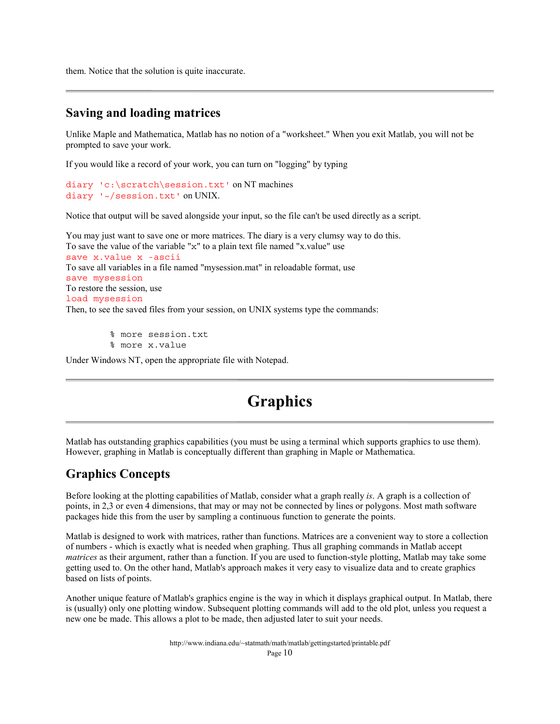them. Notice that the solution is quite inaccurate.

### **Saving and loading matrices**

Unlike Maple and Mathematica, Matlab has no notion of a "worksheet." When you exit Matlab, you will not be prompted to save your work.

If you would like a record of your work, you can turn on "logging" by typing

```
diary 'c:\scratch\session.txt' on NT machines
diary '~/session.txt' on UNIX.
```
Notice that output will be saved alongside your input, so the file can't be used directly as a script.

```
You may just want to save one or more matrices. The diary is a very clumsy way to do this.
To save the value of the variable "x" to a plain text file named "x.value" use
save x.value x -ascii
To save all variables in a file named "mysession.mat" in reloadable format, use
save mysession
To restore the session, use
load mysession
Then, to see the saved files from your session, on UNIX systems type the commands:
```

```
% more session.txt
% more x.value
```
Under Windows NT, open the appropriate file with Notepad.

# **Graphics**

Matlab has outstanding graphics capabilities (you must be using a terminal which supports graphics to use them). However, graphing in Matlab is conceptually different than graphing in Maple or Mathematica.

## **Graphics Concepts**

Before looking at the plotting capabilities of Matlab, consider what a graph really *is*. A graph is a collection of points, in 2,3 or even 4 dimensions, that may or may not be connected by lines or polygons. Most math software packages hide this from the user by sampling a continuous function to generate the points.

Matlab is designed to work with matrices, rather than functions. Matrices are a convenient way to store a collection of numbers - which is exactly what is needed when graphing. Thus all graphing commands in Matlab accept *matrices* as their argument, rather than a function. If you are used to function-style plotting, Matlab may take some getting used to. On the other hand, Matlab's approach makes it very easy to visualize data and to create graphics based on lists of points.

Another unique feature of Matlab's graphics engine is the way in which it displays graphical output. In Matlab, there is (usually) only one plotting window. Subsequent plotting commands will add to the old plot, unless you request a new one be made. This allows a plot to be made, then adjusted later to suit your needs.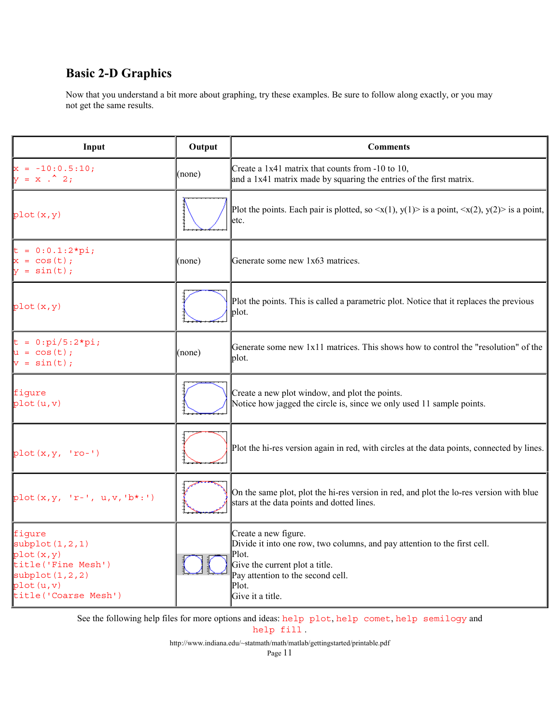# **Basic 2-D Graphics**

Now that you understand a bit more about graphing, try these examples. Be sure to follow along exactly, or you may not get the same results.

| Input                                                                                                                | Output | <b>Comments</b>                                                                                                                                                                                                |
|----------------------------------------------------------------------------------------------------------------------|--------|----------------------------------------------------------------------------------------------------------------------------------------------------------------------------------------------------------------|
| $x = -10:0.5:10;$<br>$y = x$ . 2;                                                                                    | (none) | Create a 1x41 matrix that counts from -10 to 10,<br>and a 1x41 matrix made by squaring the entries of the first matrix.                                                                                        |
| plot(x, y)                                                                                                           |        | Plot the points. Each pair is plotted, so $\langle x(1), y(1) \rangle$ is a point, $\langle x(2), y(2) \rangle$ is a point,<br>letc.                                                                           |
| $t = 0:0.1:2*pi;$<br>$x = cos(t);$<br>$y = sin(t);$                                                                  | (none) | Generate some new 1x63 matrices.                                                                                                                                                                               |
| plot(x, y)                                                                                                           |        | Plot the points. This is called a parametric plot. Notice that it replaces the previous<br>plot.                                                                                                               |
| $t = 0:pi/5:2*pi;$<br>$u = cos(t);$<br>$v = sin(t);$                                                                 | (none) | Generate some new 1x11 matrices. This shows how to control the "resolution" of the<br>plot.                                                                                                                    |
| Eiqure<br>plot(u,v)                                                                                                  |        | Create a new plot window, and plot the points.<br>Notice how jagged the circle is, since we only used 11 sample points.                                                                                        |
| $plot(x, y, 'ro-')$                                                                                                  |        | Plot the hi-res version again in red, with circles at the data points, connected by lines.                                                                                                                     |
| $plot(x, y, 'r-', u, v, 'b*:')$                                                                                      |        | On the same plot, plot the hi-res version in red, and plot the lo-res version with blue<br>stars at the data points and dotted lines.                                                                          |
| fiqure<br>subplot(1,2,1)<br>plot(x, y)<br>title('Fine Mesh')<br>subplot(1,2,2)<br>plot(u, v)<br>title('Coarse Mesh') |        | Create a new figure.<br>Divide it into one row, two columns, and pay attention to the first cell.<br>Plot.<br>Give the current plot a title.<br>Pay attention to the second cell.<br>Plot.<br>Give it a title. |

See the following help files for more options and ideas: help plot, help comet, help semilogy and help fill .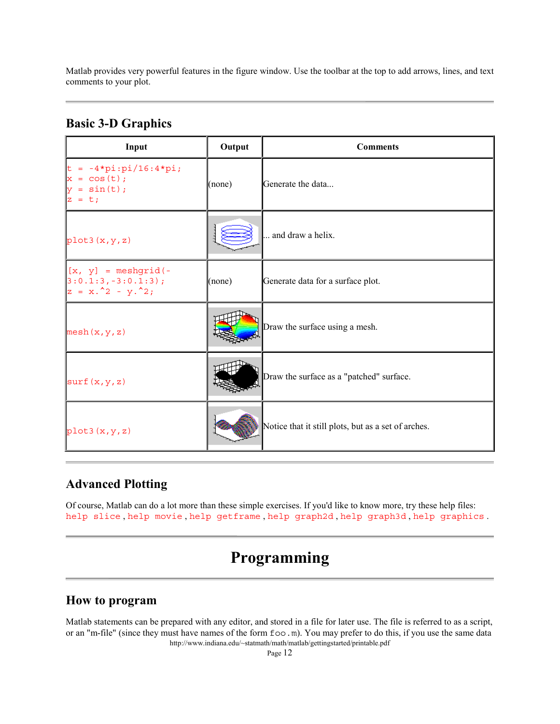Matlab provides very powerful features in the figure window. Use the toolbar at the top to add arrows, lines, and text comments to your plot.

## **Basic 3-D Graphics**

| Input                                                                 | Output | <b>Comments</b>                                     |
|-----------------------------------------------------------------------|--------|-----------------------------------------------------|
| $t = -4*pi:pi/16:4*pi;$<br>$x = cos(t);$<br>$y = sin(t);$<br>$z = t;$ | (none) | Generate the data                                   |
| plot3(x, y, z)                                                        |        | . and draw a helix.                                 |
| $[x, y] = meshgrid(-$<br>$3:0.1:3,-3:0.1:3);$<br>$z = x.^2 - y.^2;$   | (none) | Generate data for a surface plot.                   |
| mesh(x, y, z)                                                         |        | Draw the surface using a mesh.                      |
| surf(x, y, z)                                                         |        | Draw the surface as a "patched" surface.            |
| plot3(x, y, z)                                                        |        | Notice that it still plots, but as a set of arches. |

## **Advanced Plotting**

Of course, Matlab can do a lot more than these simple exercises. If you'd like to know more, try these help files: help slice, help movie, help getframe, help graph2d, help graph3d, help graphics.

# **Programming**

### **How to program**

http://www.indiana.edu/~statmath/math/matlab/gettingstarted/printable.pdf Matlab statements can be prepared with any editor, and stored in a file for later use. The file is referred to as a script, or an "m-file" (since they must have names of the form foo.m). You may prefer to do this, if you use the same data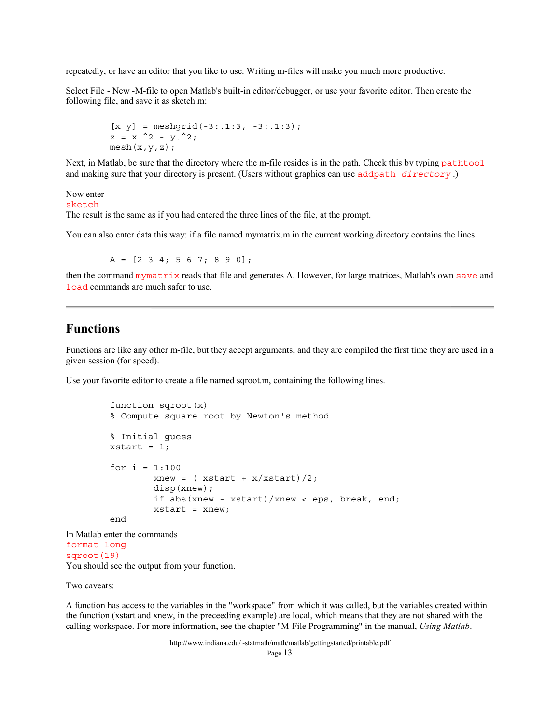repeatedly, or have an editor that you like to use. Writing m-files will make you much more productive.

Select File - New -M-file to open Matlab's built-in editor/debugger, or use your favorite editor. Then create the following file, and save it as sketch.m:

```
[x \ y] = meshgrid(-3: .1:3, -3: .1:3);z = x.^{2} - y.^{2};
mesh(x,y,z);
```
Next, in Matlab, be sure that the directory where the m-file resides is in the path. Check this by typing pathtool and making sure that your directory is present. (Users without graphics can use addpath *directory* .)

Now enter sketch The result is the same as if you had entered the three lines of the file, at the prompt.

You can also enter data this way: if a file named mymatrix.m in the current working directory contains the lines

 $A = \begin{bmatrix} 2 & 3 & 4 \\ 5 & 6 & 7 \\ 8 & 9 & 0 \end{bmatrix}$ ;

then the command mymatrix reads that file and generates A. However, for large matrices, Matlab's own save and load commands are much safer to use.

### **Functions**

Functions are like any other m-file, but they accept arguments, and they are compiled the first time they are used in a given session (for speed).

Use your favorite editor to create a file named sqroot.m, containing the following lines.

```
function sqroot(x)
% Compute square root by Newton's method
% Initial guess
xstart = 1;for i = 1:100xnew = (xstart + x/xstart)/2;
        disp(xnew);
        if abs(xnew - xstart)/xnew < eps, break, end;
        xstart = xnew;end
```
In Matlab enter the commands format long sqroot(19) You should see the output from your function.

Two caveats:

A function has access to the variables in the "workspace" from which it was called, but the variables created within the function (xstart and xnew, in the preceeding example) are local, which means that they are not shared with the calling workspace. For more information, see the chapter "M-File Programming" in the manual, *Using Matlab*.